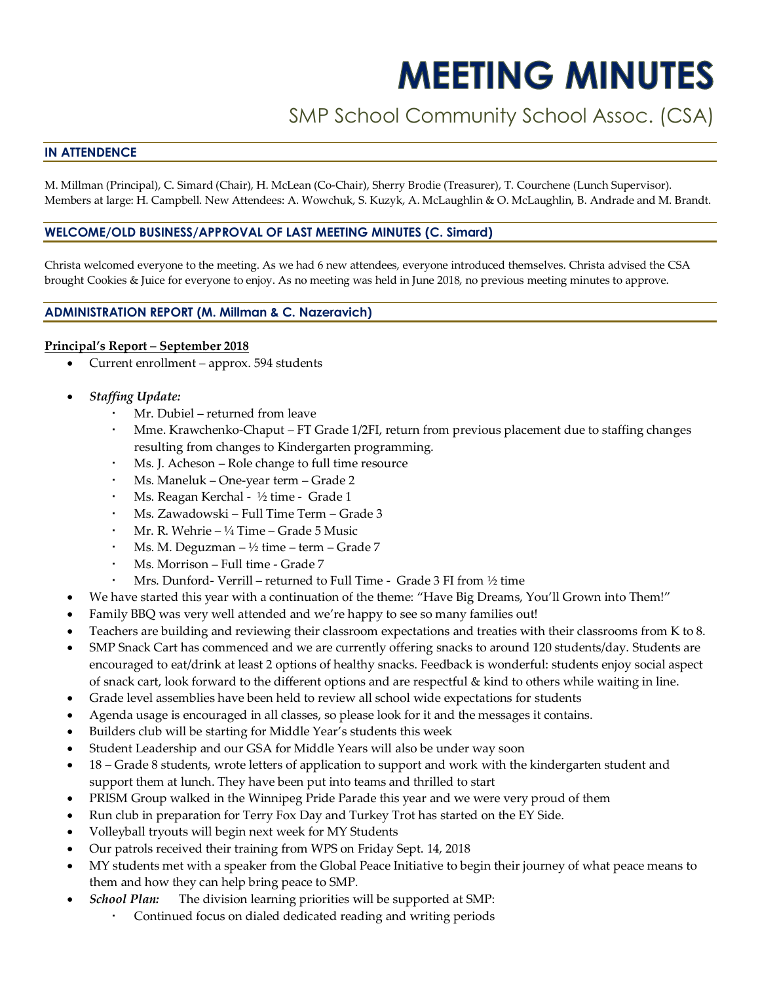# **MEETING MINUTES**

# SMP School Community School Assoc. (CSA)

# **IN ATTENDENCE**

M. Millman (Principal), C. Simard (Chair), H. McLean (Co-Chair), Sherry Brodie (Treasurer), T. Courchene (Lunch Supervisor). Members at large: H. Campbell. New Attendees: A. Wowchuk, S. Kuzyk, A. McLaughlin & O. McLaughlin, B. Andrade and M. Brandt.

# **WELCOME/OLD BUSINESS/APPROVAL OF LAST MEETING MINUTES (C. Simard)**

Christa welcomed everyone to the meeting. As we had 6 new attendees, everyone introduced themselves. Christa advised the CSA brought Cookies & Juice for everyone to enjoy. As no meeting was held in June 2018, no previous meeting minutes to approve.

# **ADMINISTRATION REPORT (M. Millman & C. Nazeravich)**

# **Principal's Report – September 2018**

- Current enrollment approx. 594 students
- *Staffing Update:*
	- Mr. Dubiel returned from leave
	- Mme. Krawchenko-Chaput FT Grade 1/2FI, return from previous placement due to staffing changes resulting from changes to Kindergarten programming.
	- Ms. J. Acheson Role change to full time resource
	- Ms. Maneluk One-year term Grade 2
	- Ms. Reagan Kerchal ½ time Grade 1
	- Ms. Zawadowski Full Time Term Grade 3
	- Mr. R. Wehrie ¼ Time Grade 5 Music
	- Ms. M. Deguzman  $-1/2$  time term Grade 7
	- Ms. Morrison Full time Grade 7
	- Mrs. Dunford- Verrill returned to Full Time Grade 3 FI from ½ time
- We have started this year with a continuation of the theme: "Have Big Dreams, You'll Grown into Them!"
- Family BBQ was very well attended and we're happy to see so many families out!
- Teachers are building and reviewing their classroom expectations and treaties with their classrooms from K to 8.
- SMP Snack Cart has commenced and we are currently offering snacks to around 120 students/day. Students are encouraged to eat/drink at least 2 options of healthy snacks. Feedback is wonderful: students enjoy social aspect of snack cart, look forward to the different options and are respectful & kind to others while waiting in line.
- Grade level assemblies have been held to review all school wide expectations for students
- Agenda usage is encouraged in all classes, so please look for it and the messages it contains.
- Builders club will be starting for Middle Year's students this week
- Student Leadership and our GSA for Middle Years will also be under way soon
- 18 Grade 8 students, wrote letters of application to support and work with the kindergarten student and support them at lunch. They have been put into teams and thrilled to start
- PRISM Group walked in the Winnipeg Pride Parade this year and we were very proud of them
- Run club in preparation for Terry Fox Day and Turkey Trot has started on the EY Side.
- Volleyball tryouts will begin next week for MY Students
- Our patrols received their training from WPS on Friday Sept. 14, 2018
- MY students met with a speaker from the Global Peace Initiative to begin their journey of what peace means to them and how they can help bring peace to SMP.
- *School Plan:* The division learning priorities will be supported at SMP:
	- Continued focus on dialed dedicated reading and writing periods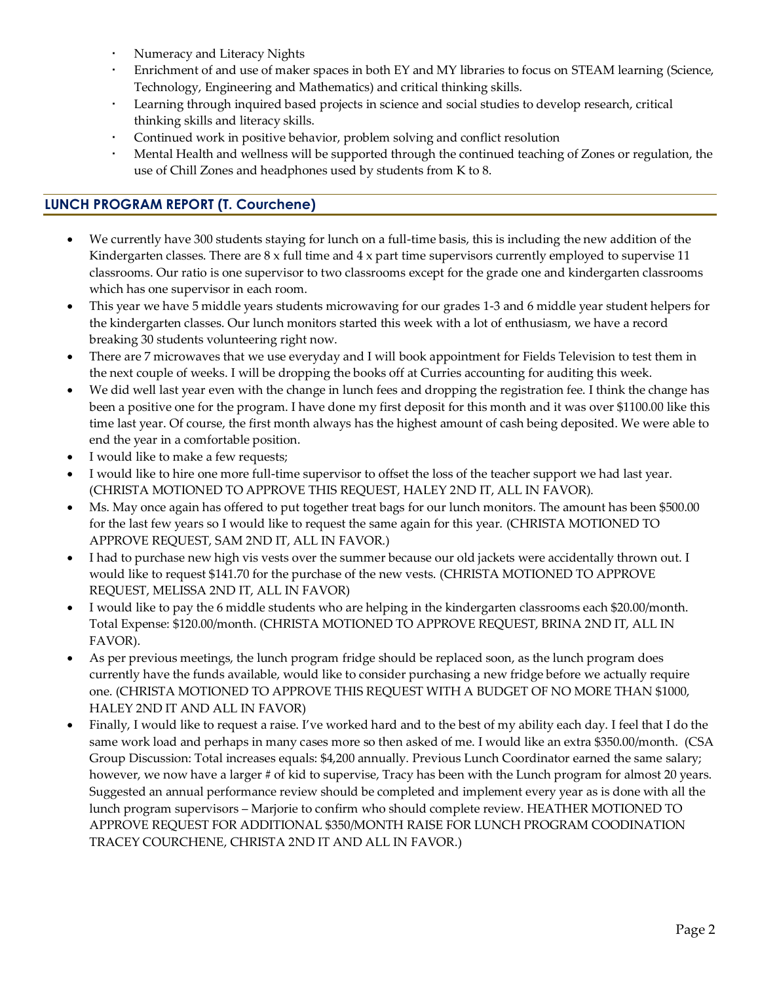- Numeracy and Literacy Nights
- Enrichment of and use of maker spaces in both EY and MY libraries to focus on STEAM learning (Science, Technology, Engineering and Mathematics) and critical thinking skills.
- Learning through inquired based projects in science and social studies to develop research, critical thinking skills and literacy skills.
- Continued work in positive behavior, problem solving and conflict resolution
- Mental Health and wellness will be supported through the continued teaching of Zones or regulation, the use of Chill Zones and headphones used by students from K to 8.

# **LUNCH PROGRAM REPORT (T. Courchene)**

- We currently have 300 students staying for lunch on a full-time basis, this is including the new addition of the Kindergarten classes. There are  $8 \times$  full time and  $4 \times$  part time supervisors currently employed to supervise 11 classrooms. Our ratio is one supervisor to two classrooms except for the grade one and kindergarten classrooms which has one supervisor in each room.
- This year we have 5 middle years students microwaving for our grades 1-3 and 6 middle year student helpers for the kindergarten classes. Our lunch monitors started this week with a lot of enthusiasm, we have a record breaking 30 students volunteering right now.
- There are 7 microwaves that we use everyday and I will book appointment for Fields Television to test them in the next couple of weeks. I will be dropping the books off at Curries accounting for auditing this week.
- We did well last year even with the change in lunch fees and dropping the registration fee. I think the change has been a positive one for the program. I have done my first deposit for this month and it was over \$1100.00 like this time last year. Of course, the first month always has the highest amount of cash being deposited. We were able to end the year in a comfortable position.
- I would like to make a few requests;
- I would like to hire one more full-time supervisor to offset the loss of the teacher support we had last year. (CHRISTA MOTIONED TO APPROVE THIS REQUEST, HALEY 2ND IT, ALL IN FAVOR).
- Ms. May once again has offered to put together treat bags for our lunch monitors. The amount has been \$500.00 for the last few years so I would like to request the same again for this year. (CHRISTA MOTIONED TO APPROVE REQUEST, SAM 2ND IT, ALL IN FAVOR.)
- I had to purchase new high vis vests over the summer because our old jackets were accidentally thrown out. I would like to request \$141.70 for the purchase of the new vests. (CHRISTA MOTIONED TO APPROVE REQUEST, MELISSA 2ND IT, ALL IN FAVOR)
- I would like to pay the 6 middle students who are helping in the kindergarten classrooms each \$20.00/month. Total Expense: \$120.00/month. (CHRISTA MOTIONED TO APPROVE REQUEST, BRINA 2ND IT, ALL IN FAVOR).
- As per previous meetings, the lunch program fridge should be replaced soon, as the lunch program does currently have the funds available, would like to consider purchasing a new fridge before we actually require one. (CHRISTA MOTIONED TO APPROVE THIS REQUEST WITH A BUDGET OF NO MORE THAN \$1000, HALEY 2ND IT AND ALL IN FAVOR)
- Finally, I would like to request a raise. I've worked hard and to the best of my ability each day. I feel that I do the same work load and perhaps in many cases more so then asked of me. I would like an extra \$350.00/month. (CSA Group Discussion: Total increases equals: \$4,200 annually. Previous Lunch Coordinator earned the same salary; however, we now have a larger # of kid to supervise, Tracy has been with the Lunch program for almost 20 years. Suggested an annual performance review should be completed and implement every year as is done with all the lunch program supervisors – Marjorie to confirm who should complete review. HEATHER MOTIONED TO APPROVE REQUEST FOR ADDITIONAL \$350/MONTH RAISE FOR LUNCH PROGRAM COODINATION TRACEY COURCHENE, CHRISTA 2ND IT AND ALL IN FAVOR.)